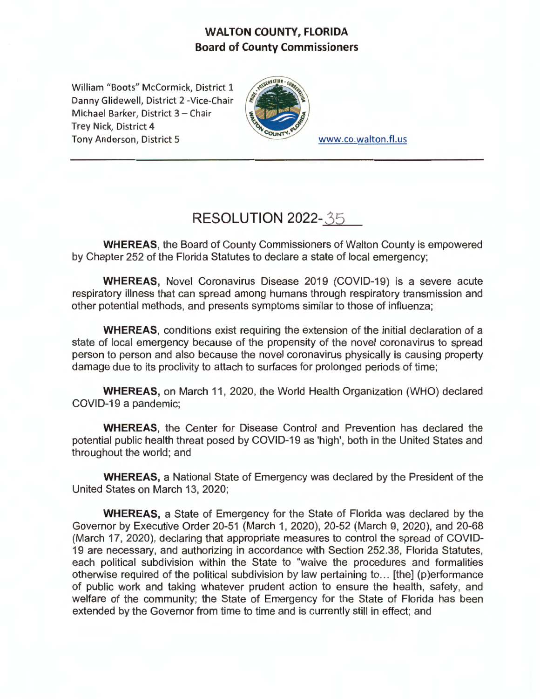## **WALTON COUNTY, FLORIDA Board of County Commissioners**

William "Boots" McCormick, District 1 Danny Glidewell, District 2 -Vice-Chair Michael Barker, District 3 - Chair Trey Nick, District 4 Tony Anderson, District 5 www.co.walton.fl.us



## **RESOLUTION** 2022-35

**WHEREAS,** the Board of County Commissioners of Walton County is empowered by Chapter 252 of the Florida Statutes to declare a state of local emergency;

**WHEREAS,** Novel Coronavirus Disease 2019 (COVID-19) is a severe acute respiratory illness that can spread among humans through respiratory transmission and other potential methods, and presents symptoms similar to those of influenza;

**WHEREAS,** conditions exist requiring the extension of the initial declaration of a state of local emergency because of the propensity of the novel coronavirus to spread person to person and also because the novel coronavirus physically is causing property damage due to its proclivity to attach to surfaces for prolonged periods of time;

**WHEREAS, on March 11, 2020, the World Health Organization (WHO) declared** COVID-19 a pandemic;

**WHEREAS,** the Center for Disease Control and Prevention has declared the potential public health threat posed by COVID-19 as 'high', both in the United States and throughout the world; and

**WHEREAS,** a National State of Emergency was declared by the President of the United States on March 13, 2020;

**WHEREAS,** a State of Emergency for the State of Florida was declared by the Governor by Executive Order 20-51 (March 1, 2020), 20-52 (March 9, 2020), and 20-68 (March 17, 2020), declaring that appropriate measures to control the spread of COVID-19 are necessary, and authorizing in accordance with Section 252.38, Florida Statutes, each political subdivision within the State to "waive the procedures and formalities otherwise required of the political subdivision by law pertaining to ... [the] (p)erformance of public work and taking whatever prudent action to ensure the health, safety, and welfare of the community; the State of Emergency for the State of Florida has been extended by the Governor from time to time and is currently still in effect; and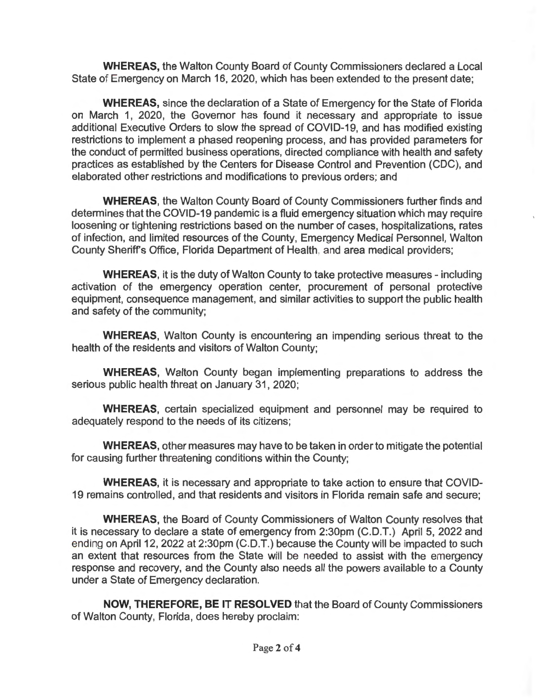**WHEREAS,** the Walton County Board of County Commissioners declared a Local State of Emergency on March 16, 2020, which has been extended to the present date;

**WHEREAS,** since the declaration of a State of Emergency for the State of Florida on March 1, 2020, the Governor has found it necessary and appropriate to issue additional Executive Orders to slow the spread of COVID-19, and has modified existing restrictions to implement a phased reopening process, and has provided parameters for the conduct of permitted business operations, directed compliance with health and safety practices as established by the Centers for Disease Control and Prevention (CDC), and elaborated other restrictions and modifications to previous orders; and

**WHEREAS,** the Walton County Board of County Commissioners further finds and determines that the COVID-19 pandemic is a fluid emergency situation which may require loosening or tightening restrictions based on the number of cases, hospitalizations, rates of infection, and limited resources of the County, Emergency Medical Personnel, Walton County Sheriffs Office, Florida Department of Health, and area medical providers;

**WHEREAS,** it is the duty of Walton County to take protective measures - including activation of the emergency operation center, procurement of personal protective equipment, consequence management, and similar activities to support the public health and safety of the community;

**WHEREAS,** Walton County is encountering an impending serious threat to the health of the residents and visitors of Walton County;

**WHEREAS,** Walton County began implementing preparations to address the serious public health threat on January 31, 2020;

**WHEREAS,** certain specialized equipment and personnel may be required to adequately respond to the needs of its citizens;

**WHEREAS,** other measures may have to be taken in order to mitigate the potential for causing further threatening conditions within the County;

**WHEREAS,** it is necessary and appropriate to take action to ensure that COVID-19 remains controlled, and that residents and visitors in Florida remain safe and secure;

**WHEREAS,** the Board of County Commissioners of Walton County resolves that it is necessary to declare a state of emergency from 2:30pm (C.D.T.) April 5, 2022 and ending on April 12, 2022 at 2:30pm (C.D.T.) because the County will be impacted to such an extent that resources from the State will be needed to assist with the emergency response and recovery, and the County also needs all the powers available to a County under a State of Emergency declaration.

**NOW, THEREFORE, BE IT RESOLVED** that the Board of County Commissioners of Walton County, Florida, does hereby proclaim: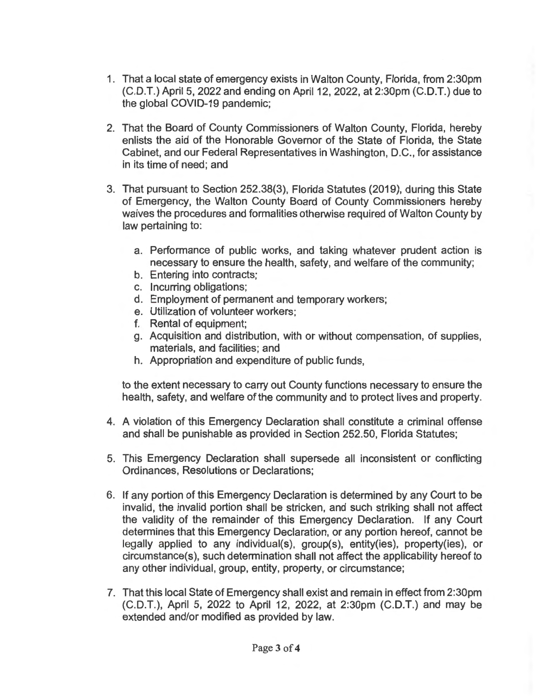- 1. That a local state of emergency exists in Walton County, Florida, from 2:30pm (C.D.T.) April 5, 2022 and ending on April 12, 2022, at 2:30pm (C.D.T.) due to the global COVID-19 pandemic;
- 2. That the Board of County Commissioners of Walton County, Florida, hereby enlists the aid of the Honorable Governor of the State of Florida, the State Cabinet, and our Federal Representatives in Washington, D.C., for assistance in its time of need; and
- 3. That pursuant to Section 252.38(3), Florida Statutes (2019), during this State of Emergency, the Walton County Board of County Commissioners hereby waives the procedures and formalities otherwise required of Walton County by law pertaining to:
	- a. Performance of public works, and taking whatever prudent action is necessary to ensure the health, safety, and welfare of the community;
	- b. Entering into contracts;
	- c. Incurring obligations;
	- d. Employment of permanent and temporary workers;
	- e. Utilization of volunteer workers;
	- f. Rental of equipment;
	- g. Acquisition and distribution, with or without compensation, of supplies, materials, and facilities; and
	- h. Appropriation and expenditure of public funds,

to the extent necessary to carry out County functions necessary to ensure the health, safety, and welfare of the community and to protect lives and property.

- 4. A violation of this Emergency Declaration shall constitute a criminal offense and shall be punishable as provided in Section 252.50, Florida Statutes;
- 5. This Emergency Declaration shall supersede all inconsistent or conflicting Ordinances, Resolutions or Declarations;
- 6. If any portion of this Emergency Declaration is determined by any Court to be invalid, the invalid portion shall be stricken, and such striking shall not affect the validity of the remainder of this Emergency Declaration. If any Court determines that this Emergency Declaration, or any portion hereof, cannot be legally applied to any individual(s), group(s), entity(ies), property(ies), or circumstance(s), such determination shall not affect the applicability hereof to any other individual, group, entity, property, or circumstance;
- 7. That this local State of Emergency shall exist and remain in effect from 2:30pm (C.D.T.), April 5, 2022 to April 12, 2022, at 2:30pm (C.D.T.) and may be extended and/or modified as provided by law.